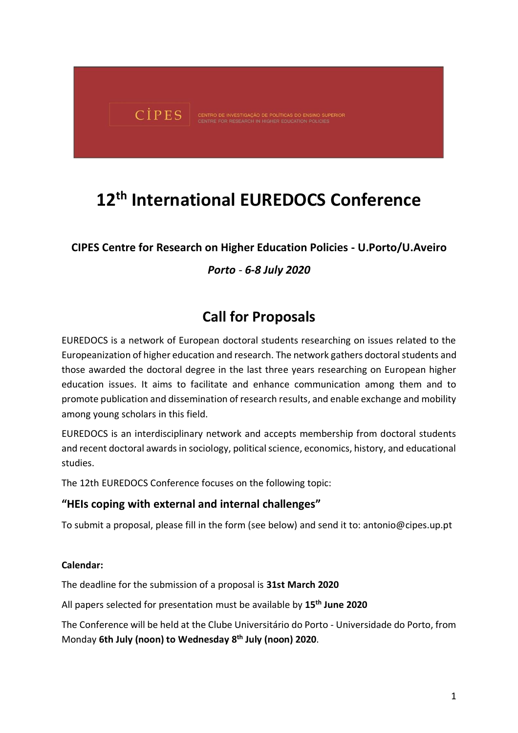

# **12 th International EUREDOCS Conference**

# **CIPES Centre for Research on Higher Education Policies - U.Porto/U.Aveiro**

# *Porto - 6-8 July 2020*

# **Call for Proposals**

EUREDOCS is a network of European doctoral students researching on issues related to the Europeanization of higher education and research. The network gathers doctoral students and those awarded the doctoral degree in the last three years researching on European higher education issues. It aims to facilitate and enhance communication among them and to promote publication and dissemination of research results, and enable exchange and mobility among young scholars in this field.

EUREDOCS is an interdisciplinary network and accepts membership from doctoral students and recent doctoral awards in sociology, political science, economics, history, and educational studies.

The 12th EUREDOCS Conference focuses on the following topic:

#### **"HEIs coping with external and internal challenges"**

To submit a proposal, please fill in the form (see below) and send it to: antonio@cipes.up.pt

#### **Calendar:**

The deadline for the submission of a proposal is **31st March 2020**

All papers selected for presentation must be available by **15th June 2020**

The Conference will be held at the Clube Universitário do Porto - Universidade do Porto, from Monday **6th July (noon) to Wednesday 8 th July (noon) 2020**.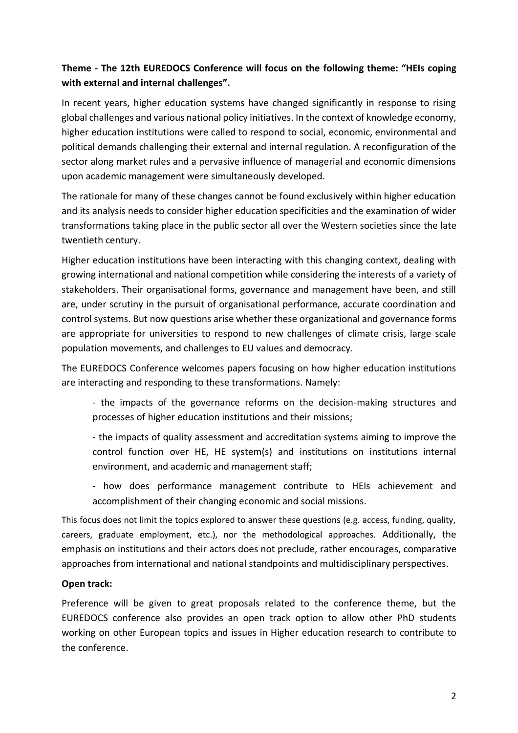# **Theme - The 12th EUREDOCS Conference will focus on the following theme: "HEIs coping with external and internal challenges".**

In recent years, higher education systems have changed significantly in response to rising global challenges and various national policy initiatives. In the context of knowledge economy, higher education institutions were called to respond to social, economic, environmental and political demands challenging their external and internal regulation. A reconfiguration of the sector along market rules and a pervasive influence of managerial and economic dimensions upon academic management were simultaneously developed.

The rationale for many of these changes cannot be found exclusively within higher education and its analysis needs to consider higher education specificities and the examination of wider transformations taking place in the public sector all over the Western societies since the late twentieth century.

Higher education institutions have been interacting with this changing context, dealing with growing international and national competition while considering the interests of a variety of stakeholders. Their organisational forms, governance and management have been, and still are, under scrutiny in the pursuit of organisational performance, accurate coordination and control systems. But now questions arise whether these organizational and governance forms are appropriate for universities to respond to new challenges of climate crisis, large scale population movements, and challenges to EU values and democracy.

The EUREDOCS Conference welcomes papers focusing on how higher education institutions are interacting and responding to these transformations. Namely:

- the impacts of the governance reforms on the decision-making structures and processes of higher education institutions and their missions;

- the impacts of quality assessment and accreditation systems aiming to improve the control function over HE, HE system(s) and institutions on institutions internal environment, and academic and management staff;

- how does performance management contribute to HEIs achievement and accomplishment of their changing economic and social missions.

This focus does not limit the topics explored to answer these questions (e.g. access, funding, quality, careers, graduate employment, etc.), nor the methodological approaches. Additionally, the emphasis on institutions and their actors does not preclude, rather encourages, comparative approaches from international and national standpoints and multidisciplinary perspectives.

#### **Open track:**

Preference will be given to great proposals related to the conference theme, but the EUREDOCS conference also provides an open track option to allow other PhD students working on other European topics and issues in Higher education research to contribute to the conference.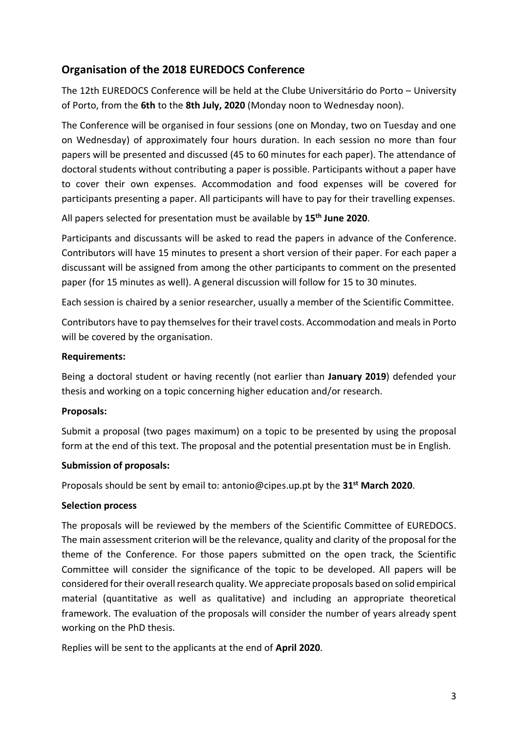# **Organisation of the 2018 EUREDOCS Conference**

The 12th EUREDOCS Conference will be held at the Clube Universitário do Porto – University of Porto, from the **6th** to the **8th July, 2020** (Monday noon to Wednesday noon).

The Conference will be organised in four sessions (one on Monday, two on Tuesday and one on Wednesday) of approximately four hours duration. In each session no more than four papers will be presented and discussed (45 to 60 minutes for each paper). The attendance of doctoral students without contributing a paper is possible. Participants without a paper have to cover their own expenses. Accommodation and food expenses will be covered for participants presenting a paper. All participants will have to pay for their travelling expenses.

All papers selected for presentation must be available by **15th June 2020**.

Participants and discussants will be asked to read the papers in advance of the Conference. Contributors will have 15 minutes to present a short version of their paper. For each paper a discussant will be assigned from among the other participants to comment on the presented paper (for 15 minutes as well). A general discussion will follow for 15 to 30 minutes.

Each session is chaired by a senior researcher, usually a member of the Scientific Committee.

Contributors have to pay themselves for their travel costs. Accommodation and meals in Porto will be covered by the organisation.

#### **Requirements:**

Being a doctoral student or having recently (not earlier than **January 2019**) defended your thesis and working on a topic concerning higher education and/or research.

#### **Proposals:**

Submit a proposal (two pages maximum) on a topic to be presented by using the proposal form at the end of this text. The proposal and the potential presentation must be in English.

#### **Submission of proposals:**

Proposals should be sent by email to: antonio@cipes.up.pt by the **31st March 2020**.

#### **Selection process**

The proposals will be reviewed by the members of the Scientific Committee of EUREDOCS. The main assessment criterion will be the relevance, quality and clarity of the proposal for the theme of the Conference. For those papers submitted on the open track, the Scientific Committee will consider the significance of the topic to be developed. All papers will be considered for their overall research quality. We appreciate proposals based on solid empirical material (quantitative as well as qualitative) and including an appropriate theoretical framework. The evaluation of the proposals will consider the number of years already spent working on the PhD thesis.

Replies will be sent to the applicants at the end of **April 2020**.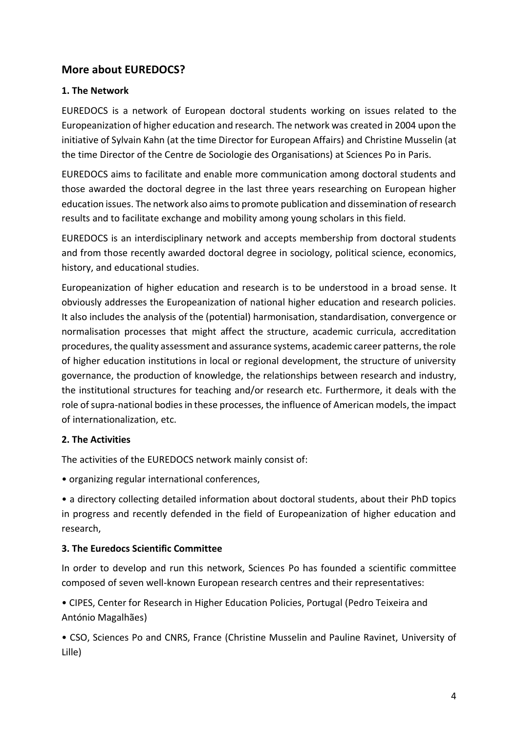# **More about EUREDOCS?**

#### **1. The Network**

EUREDOCS is a network of European doctoral students working on issues related to the Europeanization of higher education and research. The network was created in 2004 upon the initiative of Sylvain Kahn (at the time Director for European Affairs) and Christine Musselin (at the time Director of the Centre de Sociologie des Organisations) at Sciences Po in Paris.

EUREDOCS aims to facilitate and enable more communication among doctoral students and those awarded the doctoral degree in the last three years researching on European higher education issues. The network also aims to promote publication and dissemination of research results and to facilitate exchange and mobility among young scholars in this field.

EUREDOCS is an interdisciplinary network and accepts membership from doctoral students and from those recently awarded doctoral degree in sociology, political science, economics, history, and educational studies.

Europeanization of higher education and research is to be understood in a broad sense. It obviously addresses the Europeanization of national higher education and research policies. It also includes the analysis of the (potential) harmonisation, standardisation, convergence or normalisation processes that might affect the structure, academic curricula, accreditation procedures, the quality assessment and assurance systems, academic career patterns, the role of higher education institutions in local or regional development, the structure of university governance, the production of knowledge, the relationships between research and industry, the institutional structures for teaching and/or research etc. Furthermore, it deals with the role of supra-national bodies in these processes, the influence of American models, the impact of internationalization, etc.

#### **2. The Activities**

The activities of the EUREDOCS network mainly consist of:

• organizing regular international conferences,

• a directory collecting detailed information about doctoral students, about their PhD topics in progress and recently defended in the field of Europeanization of higher education and research,

#### **3. The Euredocs Scientific Committee**

In order to develop and run this network, Sciences Po has founded a scientific committee composed of seven well-known European research centres and their representatives:

• CIPES, Center for Research in Higher Education Policies, Portugal (Pedro Teixeira and António Magalhães)

• CSO, Sciences Po and CNRS, France (Christine Musselin and Pauline Ravinet, University of Lille)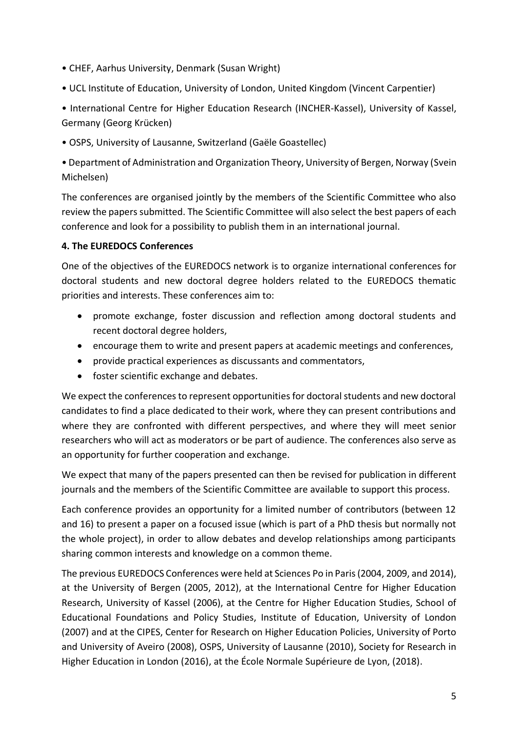- CHEF, Aarhus University, Denmark (Susan Wright)
- UCL Institute of Education, University of London, United Kingdom (Vincent Carpentier)

• International Centre for Higher Education Research (INCHER-Kassel), University of Kassel, Germany (Georg Krücken)

• OSPS, University of Lausanne, Switzerland (Gaële Goastellec)

• Department of Administration and Organization Theory, University of Bergen, Norway (Svein Michelsen)

The conferences are organised jointly by the members of the Scientific Committee who also review the papers submitted. The Scientific Committee will also select the best papers of each conference and look for a possibility to publish them in an international journal.

#### **4. The EUREDOCS Conferences**

One of the objectives of the EUREDOCS network is to organize international conferences for doctoral students and new doctoral degree holders related to the EUREDOCS thematic priorities and interests. These conferences aim to:

- promote exchange, foster discussion and reflection among doctoral students and recent doctoral degree holders,
- encourage them to write and present papers at academic meetings and conferences,
- provide practical experiences as discussants and commentators,
- foster scientific exchange and debates.

We expect the conferences to represent opportunities for doctoral students and new doctoral candidates to find a place dedicated to their work, where they can present contributions and where they are confronted with different perspectives, and where they will meet senior researchers who will act as moderators or be part of audience. The conferences also serve as an opportunity for further cooperation and exchange.

We expect that many of the papers presented can then be revised for publication in different journals and the members of the Scientific Committee are available to support this process.

Each conference provides an opportunity for a limited number of contributors (between 12 and 16) to present a paper on a focused issue (which is part of a PhD thesis but normally not the whole project), in order to allow debates and develop relationships among participants sharing common interests and knowledge on a common theme.

The previous EUREDOCS Conferences were held at Sciences Po in Paris (2004, 2009, and 2014), at the University of Bergen (2005, 2012), at the International Centre for Higher Education Research, University of Kassel (2006), at the Centre for Higher Education Studies, School of Educational Foundations and Policy Studies, Institute of Education, University of London (2007) and at the CIPES, Center for Research on Higher Education Policies, University of Porto and University of Aveiro (2008), OSPS, University of Lausanne (2010), Society for Research in Higher Education in London (2016), at the École Normale Supérieure de Lyon, (2018).